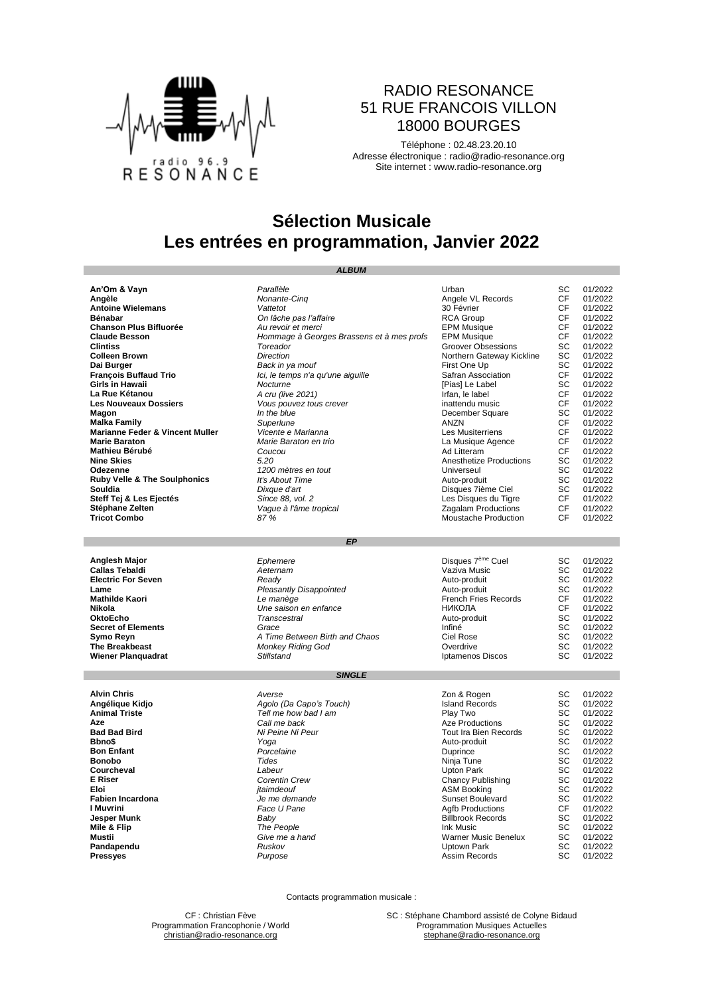

## RADIO RESONANCE 51 RUE FRANCOIS VILLON 18000 BOURGES

Téléphone : 02.48.23.20.10 Adresse électronique : [radio@radio-resonance.org](mailto:radio@radio-resonance.org) Site internet : [www.radio-resonance.org](http://www.radio-resonance.org/)

## **Sélection Musicale Les entrées en programmation, Janvier 2022**

| <b>ALBUM</b>                            |                                           |                                          |           |                    |  |
|-----------------------------------------|-------------------------------------------|------------------------------------------|-----------|--------------------|--|
|                                         |                                           |                                          |           |                    |  |
| An'Om & Vayn                            | Parallèle                                 | Urban                                    | SC        | 01/2022            |  |
| Angèle                                  | Nonante-Cing                              | Angele VL Records                        | <b>CF</b> | 01/2022            |  |
| <b>Antoine Wielemans</b>                | Vattetot                                  | 30 Février                               | CF        | 01/2022            |  |
| Bénabar                                 | On lâche pas l'affaire                    | <b>RCA Group</b>                         | CF        | 01/2022            |  |
| <b>Chanson Plus Bifluorée</b>           | Au revoir et merci                        | <b>EPM Musique</b>                       | <b>CF</b> | 01/2022            |  |
| <b>Claude Besson</b>                    | Hommage à Georges Brassens et à mes profs | <b>EPM Musique</b>                       | <b>CF</b> | 01/2022            |  |
| <b>Clintiss</b>                         | Toreador                                  | <b>Groover Obsessions</b>                | SC        | 01/2022            |  |
| <b>Colleen Brown</b>                    | <b>Direction</b>                          | Northern Gateway Kickline                | SC        | 01/2022            |  |
| Dai Burger                              | Back in ya mouf                           | First One Up                             | SC        | 01/2022            |  |
| <b>François Buffaud Trio</b>            | Ici, le temps n'a qu'une aiguille         | Safran Association                       | <b>CF</b> | 01/2022            |  |
| Girls in Hawaii                         | Nocturne                                  | [Pias] Le Label                          | SC        | 01/2022            |  |
| La Rue Kétanou                          | A cru (live 2021)                         | Irfan, le label                          | CF        | 01/2022            |  |
| <b>Les Nouveaux Dossiers</b>            | Vous pouvez tous crever                   | inattendu music                          | CF        | 01/2022            |  |
| Magon                                   | In the blue                               | December Square                          | SC        | 01/2022            |  |
| <b>Malka Family</b>                     | Superlune                                 | ANZN                                     | CF        | 01/2022            |  |
| Marianne Feder & Vincent Muller         | Vicente e Marianna                        | Les Musiterriens                         | <b>CF</b> | 01/2022            |  |
| <b>Marie Baraton</b>                    | Marie Baraton en trio                     | La Musique Agence                        | <b>CF</b> | 01/2022            |  |
| Mathieu Bérubé                          | Coucou                                    | Ad Litteram                              | CF        | 01/2022            |  |
| <b>Nine Skies</b>                       | 5.20                                      | Anesthetize Productions                  | SC        | 01/2022            |  |
| Odezenne                                | 1200 mètres en tout                       | Universeul                               | SC        | 01/2022            |  |
| <b>Ruby Velle &amp; The Soulphonics</b> | It's About Time                           | Auto-produit                             | SC        | 01/2022            |  |
| Souldia                                 | Dixque d'art                              | Disques 7ième Ciel                       | SC        | 01/2022            |  |
| Steff Tej & Les Ejectés                 | Since 88, vol. 2                          | Les Disques du Tigre                     | <b>CF</b> | 01/2022            |  |
| Stéphane Zelten                         | Vaque à l'âme tropical                    | Zagalam Productions                      | CF        | 01/2022            |  |
| <b>Tricot Combo</b>                     | 87 %                                      | Moustache Production                     | CF        | 01/2022            |  |
|                                         |                                           |                                          |           |                    |  |
|                                         |                                           |                                          |           |                    |  |
|                                         | <b>EP</b>                                 |                                          |           |                    |  |
|                                         |                                           |                                          |           |                    |  |
| Anglesh Major                           | Ephemere                                  | Disques 7 <sup>ème</sup> Cuel            | SC        | 01/2022            |  |
| <b>Callas Tebaldi</b>                   | Aeternam                                  | Vaziva Music                             | SC        | 01/2022            |  |
| <b>Electric For Seven</b>               | Readv                                     | Auto-produit                             | SC        | 01/2022            |  |
| Lame                                    | Pleasantly Disappointed                   | Auto-produit                             | SC        | 01/2022            |  |
| Mathilde Kaori                          | Le manège                                 | <b>French Fries Records</b>              | <b>CF</b> | 01/2022            |  |
| Nikola                                  | Une saison en enfance                     | <b>НИКОЛА</b>                            | СF        | 01/2022            |  |
| <b>OktoEcho</b>                         | Transcestral                              | Auto-produit                             | SC        | 01/2022            |  |
| <b>Secret of Elements</b>               | Grace                                     | Infiné                                   | SC        | 01/2022            |  |
| Symo Reyn                               | A Time Between Birth and Chaos            | Ciel Rose                                | SC        | 01/2022            |  |
| <b>The Breakbeast</b>                   | <b>Monkey Riding God</b>                  | Overdrive                                | SC        | 01/2022            |  |
| <b>Wiener Planguadrat</b>               | <b>Stillstand</b>                         | Iptamenos Discos                         | SC        | 01/2022            |  |
|                                         |                                           |                                          |           |                    |  |
|                                         | <b>SINGLE</b>                             |                                          |           |                    |  |
| <b>Alvin Chris</b>                      | Averse                                    | Zon & Rogen                              | SC        | 01/2022            |  |
| Angélique Kidjo                         | Agolo (Da Capo's Touch)                   | <b>Island Records</b>                    | SC        | 01/2022            |  |
| <b>Animal Triste</b>                    | Tell me how bad I am                      | Play Two                                 | SC        | 01/2022            |  |
| Aze                                     | Call me back                              | <b>Aze Productions</b>                   | SC        | 01/2022            |  |
| <b>Bad Bad Bird</b>                     | Ni Peine Ni Peur                          | Tout Ira Bien Records                    | SC        | 01/2022            |  |
| Bbno\$                                  | Yoga                                      | Auto-produit                             | SC        | 01/2022            |  |
| <b>Bon Enfant</b>                       | Porcelaine                                | Duprince                                 | SC        | 01/2022            |  |
| <b>Bonobo</b>                           | <b>Tides</b>                              | Ninja Tune                               | SC        | 01/2022            |  |
| Courcheval                              | Labeur                                    | Upton Park                               | SC        | 01/2022            |  |
| <b>E</b> Riser                          | Corentin Crew                             | <b>Chancy Publishing</b>                 | SC        | 01/2022            |  |
|                                         |                                           |                                          | SC        | 01/2022            |  |
| Eloi<br><b>Fabien Incardona</b>         | jtaimdeouf                                | <b>ASM Booking</b><br>Sunset Boulevard   | SC        | 01/2022            |  |
| I Muvrini                               | Je me demande                             |                                          | CF        |                    |  |
|                                         | Face U Pane                               | <b>Agfb Productions</b>                  |           | 01/2022            |  |
| Jesper Munk                             | Baby                                      | <b>Billbrook Records</b>                 | SC        | 01/2022            |  |
| Mile & Flip<br>Mustii                   | The People<br>Give me a hand              | Ink Music<br><b>Warner Music Benelux</b> | SC<br>SC  | 01/2022<br>01/2022 |  |
|                                         |                                           |                                          |           | 01/2022            |  |
| Pandapendu                              | Ruskov                                    | Uptown Park                              | SC<br>SC  |                    |  |
| <b>Pressyes</b>                         | Purpose                                   | <b>Assim Records</b>                     |           | 01/2022            |  |

Contacts programmation musicale :

CF : Christian Fève SC : Stéphane Chambord assisté de Colyne Bidaud<br>
Programmation Musiques Actuelles<br>
Programmation Musiques Actuelles [christian@radio-resonance.org](mailto:christian@radio-resonance.org) [stephane@radio-resonance.org](mailto:stephane@radio-resonance.org)